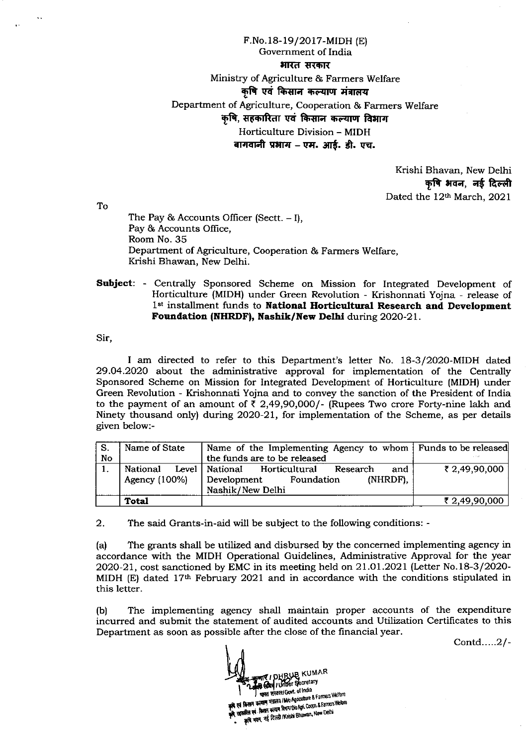F.No.18-19/2017-MIDH (E) Government of India भारत सरकार Ministry of Agriculture & Farmers Welfare कृषि एवं किसान कल्याण मंत्रालय Department of Agriculture, Cooperation & Farmers Welfare कृषि, सहकारिता एवं किसान कल्याण विभाग Horticulture Division - MIDH बागवानी प्रभाग – एम. आर्ड. डी. एच.

> Krishi Bhavan, New Delhi कृषि भवन, नई दिल्ली Dated the 12th March, 2021

To

The Pay & Accounts Officer (Sectt.  $-1$ ), Pay & Accounts Office. Room No. 35 Department of Agriculture, Cooperation & Farmers Welfare, Krishi Bhawan, New Delhi.

**Subject:** - Centrally Sponsored Scheme on Mission for Integrated Development of Horticulture (MIDH) under Green Revolution - Krishonnati Yojna - release of 1st installment funds to National Horticultural Research and Development Foundation (NHRDF), Nashik/New Delhi during 2020-21.

Sir,

I am directed to refer to this Department's letter No. 18-3/2020-MIDH dated 29.04.2020 about the administrative approval for implementation of the Centrally Sponsored Scheme on Mission for Integrated Development of Horticulture (MIDH) under Green Revolution - Krishonnati Yojna and to convey the sanction of the President of India to the payment of an amount of  $\bar{\tau}$  2,49,90,000/- (Rupees Two crore Forty-nine lakh and Ninety thousand only) during 2020-21, for implementation of the Scheme, as per details given below:-

| -S. | Name of State | Name of the Implementing Agency to whom   Funds to be released |               |
|-----|---------------|----------------------------------------------------------------|---------------|
| No  |               | the funds are to be released                                   |               |
|     | National      | Level   National<br>Horticultural<br>and<br>Research           | ₹ 2,49,90,000 |
|     | Agency (100%) | (NHRDF).<br>Development<br>Foundation                          |               |
|     |               | Nashik/New Delhi                                               |               |
|     | Total         |                                                                | ₹ 2,49,90,000 |

 $2.$ The said Grants-in-aid will be subject to the following conditions: -

The grants shall be utilized and disbursed by the concerned implementing agency in  $(a)$ accordance with the MIDH Operational Guidelines, Administrative Approval for the year 2020-21, cost sanctioned by EMC in its meeting held on 21.01.2021 (Letter No.18-3/2020-MIDH (E) dated  $17<sup>th</sup>$  February 2021 and in accordance with the conditions stipulated in this letter.

The implementing agency shall maintain proper accounts of the expenditure  $(b)$ incurred and submit the statement of audited accounts and Utilization Certificates to this Department as soon as possible after the close of the financial year.

Contd.....2/-

**ME! DHRUB KUMAR B Cord / Under Secretary** | भारत सरकार/Govt. of India ।<br>बे एवं किसान कल्याम भंत्रातय IMo Agnouture & Farmers Welfare अमित एवं किरान करयान दिनाम/Dio Agr. Coopn. & Farmers Weitere कृषि भवन, नई दिल्ली /Krishi Bhawan, New Delhi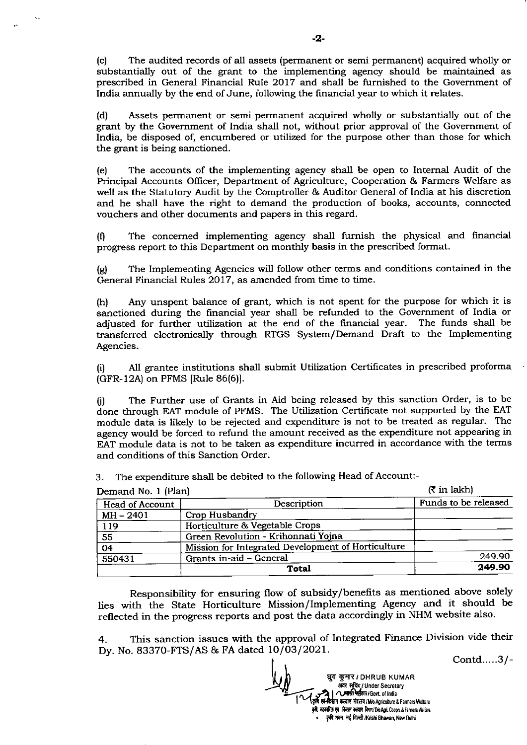(c) The audited records of all assets (permaaent or semi permanent) acquired wholly or substantially out of the grant to the implementing agency should be maintained as prescribed in General Financial Rule 2017 and shall be furnished to the Government of India annually by the end of June, following the financial year to which it relates.

(d) Assets permanent or semi-permanent acquired wholly or substantially out of the grant by the Government of India shall not, without prior approval of the Government of India, be disposed of, encumbered or utilized for the purpose other than those for which the grant is being sanctioned.

(e) The accounts of the implementing agency shall be open to Internal Audit of the Principal Accounts Officer, Department of Agriculture, Cooperation & Farmers Welfare as well as the Statutory Audit by the Comptroller & Auditor General of India at his discretion and he shall have the right to demand the production of books, accounts, connected vouchers and other documents and papers in this regard.

(0 The concerned implementing agency shall furnish the physical and frnancial progress report to this Department on monthly basis in the prescribed format.

(g) The Implementing Agencies will follow other terms and conditions contained in the General Financial Rules 2017, as amended from time to time.

(h) Any unspent balance of grant, which is not spent for the Purpose for which it is sanctioned during the financial year shall be refunded to the Government of India or adjusted for further utilization at the end of the financial year. The funds shall be transferred electronically through RTGS System/Demand Draft to the Implementing Agencies.

(i) All grantee institutions shall submit Utilization Certificates in prescribed proforma (cFR-12A) on PFMS [Rule 86(6)].

(i) The Further use of Grants in Aid being released by this sanction Order, is to be done through EAT module of PFMS. The Utilization Certificate not supported by the EAT module data is likely to be rejected and expenditure is not to be treated as regular. The agency would be forced to refund the amount received as the expenditure not appearing in EAT module data is not to be taken as expenditure incurred in accordance with the terms and conditions of this Sanction Order.

3. The expenditure shall be debited to the following Head of Account:-

| Demand No. 1 (Plan)    | $(5 \text{ in } \text{lakh})$                      |                      |
|------------------------|----------------------------------------------------|----------------------|
| <b>Head of Account</b> | Description                                        | Funds to be released |
| $MH - 2401$            | Crop Husbandry                                     |                      |
| 119                    | Horticulture & Vegetable Crops                     |                      |
| $\overline{55}$        | Green Revolution - Krihonnati Yojna                |                      |
| 04                     | Mission for Integrated Development of Horticulture |                      |
| 550431                 | Grants-in-aid - General                            | 249.90               |
|                        | Total                                              | 249.90               |

Responsibility for ensuring flow of subsidy/benefrts as mentioned above solely lies with the state Horticulture Mission/Implementing Agency and it should be reflected in the progress reports and post the data accordingly in NHM website also.

4. This sanction issues with the approval of Integrated Finance Division vide their Dy. No. 83370-FTS/AS & FA dated 10/03/2021.

Contd.....3/-

धुव कुमार / DHRUB KUMAR पुर मरा Distribution<br>अवर सूचिद्/Under Secretary **LARG RITELI Govi.** of India Require Referrit Govt. of India<br>To re-fourn over Fame I Mic Agriculture & Farmers Weifare .<br>कृषि, सहकारित एवं किसान कल्याण विमाग/D/o Agri, Coopn, & Farmers Welfare कृषि भवन, नई दिल्ली /Krishi Bhawan, New Delhi